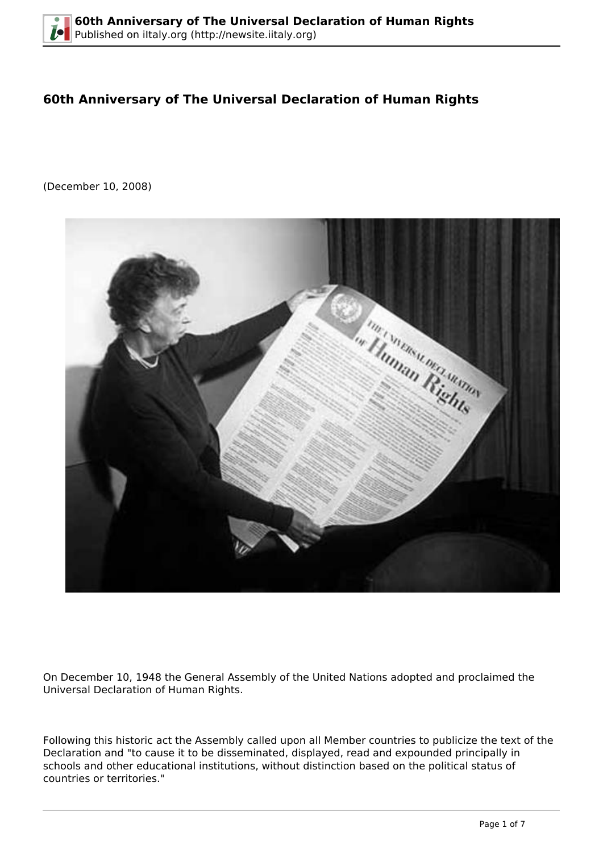# **60th Anniversary of The Universal Declaration of Human Rights**

(December 10, 2008)



On December 10, 1948 the General Assembly of the United Nations adopted and proclaimed the Universal Declaration of Human Rights.

Following this historic act the Assembly called upon all Member countries to publicize the text of the Declaration and "to cause it to be disseminated, displayed, read and expounded principally in schools and other educational institutions, without distinction based on the political status of countries or territories."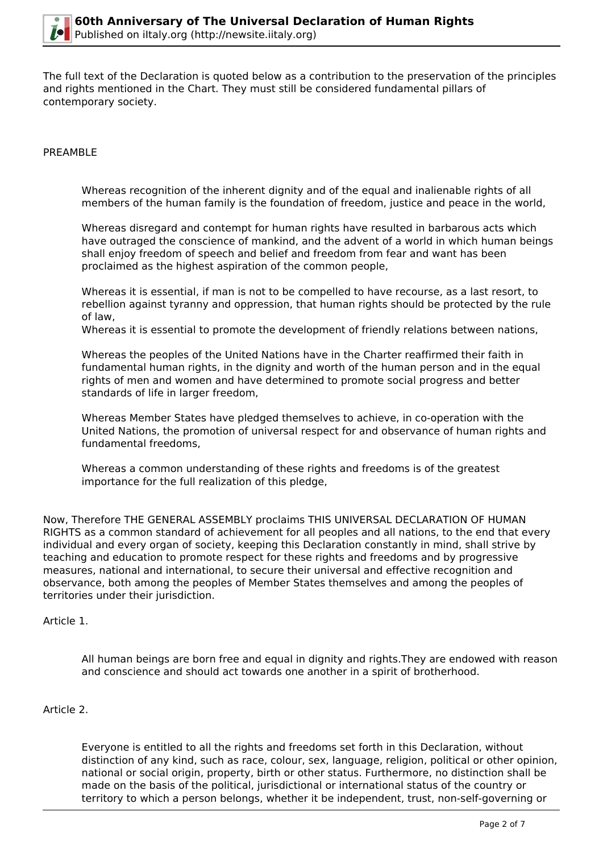

The full text of the Declaration is quoted below as a contribution to the preservation of the principles and rights mentioned in the Chart. They must still be considered fundamental pillars of contemporary society.

### PREAMBLE

Whereas recognition of the inherent dignity and of the equal and inalienable rights of all members of the human family is the foundation of freedom, justice and peace in the world,

Whereas disregard and contempt for human rights have resulted in barbarous acts which have outraged the conscience of mankind, and the advent of a world in which human beings shall enjoy freedom of speech and belief and freedom from fear and want has been proclaimed as the highest aspiration of the common people,

Whereas it is essential, if man is not to be compelled to have recourse, as a last resort, to rebellion against tyranny and oppression, that human rights should be protected by the rule of law,

Whereas it is essential to promote the development of friendly relations between nations,

Whereas the peoples of the United Nations have in the Charter reaffirmed their faith in fundamental human rights, in the dignity and worth of the human person and in the equal rights of men and women and have determined to promote social progress and better standards of life in larger freedom,

Whereas Member States have pledged themselves to achieve, in co-operation with the United Nations, the promotion of universal respect for and observance of human rights and fundamental freedoms,

Whereas a common understanding of these rights and freedoms is of the greatest importance for the full realization of this pledge,

Now, Therefore THE GENERAL ASSEMBLY proclaims THIS UNIVERSAL DECLARATION OF HUMAN RIGHTS as a common standard of achievement for all peoples and all nations, to the end that every individual and every organ of society, keeping this Declaration constantly in mind, shall strive by teaching and education to promote respect for these rights and freedoms and by progressive measures, national and international, to secure their universal and effective recognition and observance, both among the peoples of Member States themselves and among the peoples of territories under their jurisdiction.

#### Article 1.

All human beings are born free and equal in dignity and rights.They are endowed with reason and conscience and should act towards one another in a spirit of brotherhood.

#### Article 2.

Everyone is entitled to all the rights and freedoms set forth in this Declaration, without distinction of any kind, such as race, colour, sex, language, religion, political or other opinion, national or social origin, property, birth or other status. Furthermore, no distinction shall be made on the basis of the political, jurisdictional or international status of the country or territory to which a person belongs, whether it be independent, trust, non-self-governing or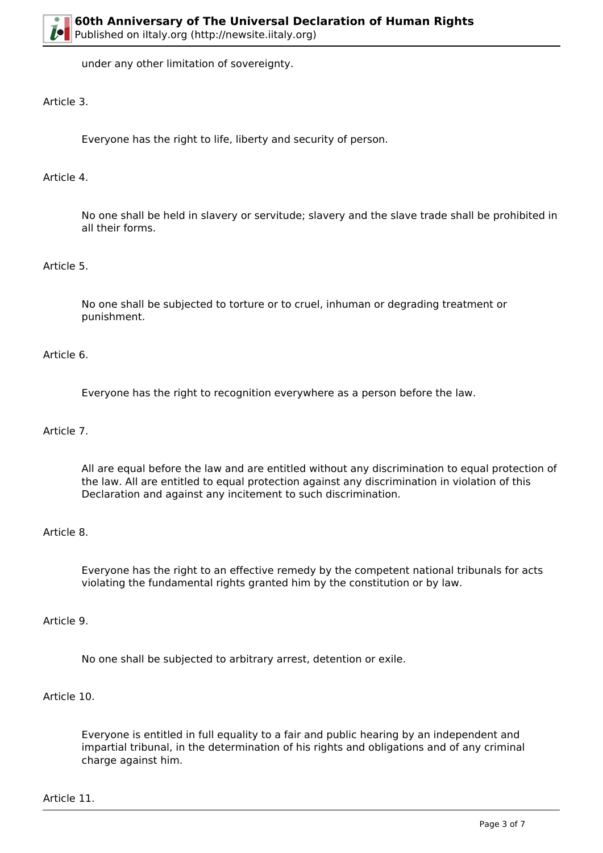under any other limitation of sovereignty.

# Article 3.

Everyone has the right to life, liberty and security of person.

# Article 4.

No one shall be held in slavery or servitude; slavery and the slave trade shall be prohibited in all their forms.

# Article 5.

No one shall be subjected to torture or to cruel, inhuman or degrading treatment or punishment.

# Article 6.

Everyone has the right to recognition everywhere as a person before the law.

### Article 7.

All are equal before the law and are entitled without any discrimination to equal protection of the law. All are entitled to equal protection against any discrimination in violation of this Declaration and against any incitement to such discrimination.

#### Article 8.

Everyone has the right to an effective remedy by the competent national tribunals for acts violating the fundamental rights granted him by the constitution or by law.

### Article 9.

No one shall be subjected to arbitrary arrest, detention or exile.

# Article 10.

Everyone is entitled in full equality to a fair and public hearing by an independent and impartial tribunal, in the determination of his rights and obligations and of any criminal charge against him.

Article 11.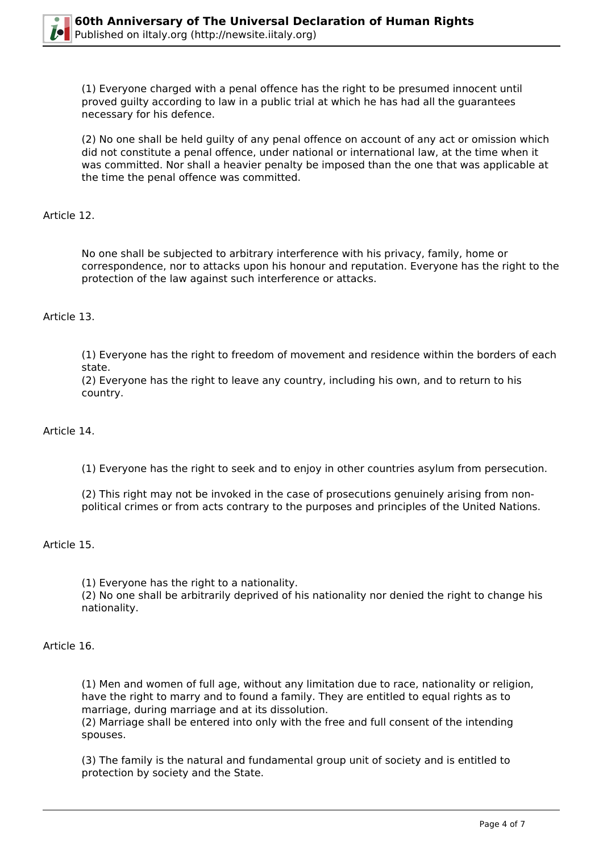

(1) Everyone charged with a penal offence has the right to be presumed innocent until proved guilty according to law in a public trial at which he has had all the guarantees necessary for his defence.

(2) No one shall be held guilty of any penal offence on account of any act or omission which did not constitute a penal offence, under national or international law, at the time when it was committed. Nor shall a heavier penalty be imposed than the one that was applicable at the time the penal offence was committed.

### Article 12.

No one shall be subjected to arbitrary interference with his privacy, family, home or correspondence, nor to attacks upon his honour and reputation. Everyone has the right to the protection of the law against such interference or attacks.

# Article 13.

(1) Everyone has the right to freedom of movement and residence within the borders of each state.

(2) Everyone has the right to leave any country, including his own, and to return to his country.

#### Article 14.

(1) Everyone has the right to seek and to enjoy in other countries asylum from persecution.

(2) This right may not be invoked in the case of prosecutions genuinely arising from nonpolitical crimes or from acts contrary to the purposes and principles of the United Nations.

#### Article 15.

(1) Everyone has the right to a nationality.

(2) No one shall be arbitrarily deprived of his nationality nor denied the right to change his nationality.

### Article 16.

(1) Men and women of full age, without any limitation due to race, nationality or religion, have the right to marry and to found a family. They are entitled to equal rights as to marriage, during marriage and at its dissolution.

(2) Marriage shall be entered into only with the free and full consent of the intending spouses.

(3) The family is the natural and fundamental group unit of society and is entitled to protection by society and the State.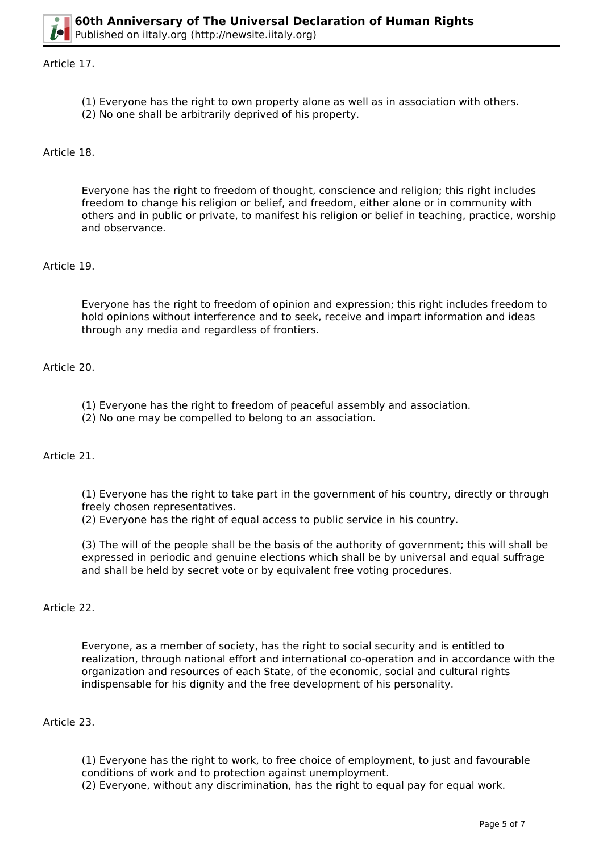

#### Article 17.

- (1) Everyone has the right to own property alone as well as in association with others.
- (2) No one shall be arbitrarily deprived of his property.

Article 18.

Everyone has the right to freedom of thought, conscience and religion; this right includes freedom to change his religion or belief, and freedom, either alone or in community with others and in public or private, to manifest his religion or belief in teaching, practice, worship and observance.

# Article 19.

Everyone has the right to freedom of opinion and expression; this right includes freedom to hold opinions without interference and to seek, receive and impart information and ideas through any media and regardless of frontiers.

### Article 20.

- (1) Everyone has the right to freedom of peaceful assembly and association.
- (2) No one may be compelled to belong to an association.

# Article 21.

(1) Everyone has the right to take part in the government of his country, directly or through freely chosen representatives.

(2) Everyone has the right of equal access to public service in his country.

(3) The will of the people shall be the basis of the authority of government; this will shall be expressed in periodic and genuine elections which shall be by universal and equal suffrage and shall be held by secret vote or by equivalent free voting procedures.

#### Article 22.

Everyone, as a member of society, has the right to social security and is entitled to realization, through national effort and international co-operation and in accordance with the organization and resources of each State, of the economic, social and cultural rights indispensable for his dignity and the free development of his personality.

#### Article 23.

(1) Everyone has the right to work, to free choice of employment, to just and favourable conditions of work and to protection against unemployment.

(2) Everyone, without any discrimination, has the right to equal pay for equal work.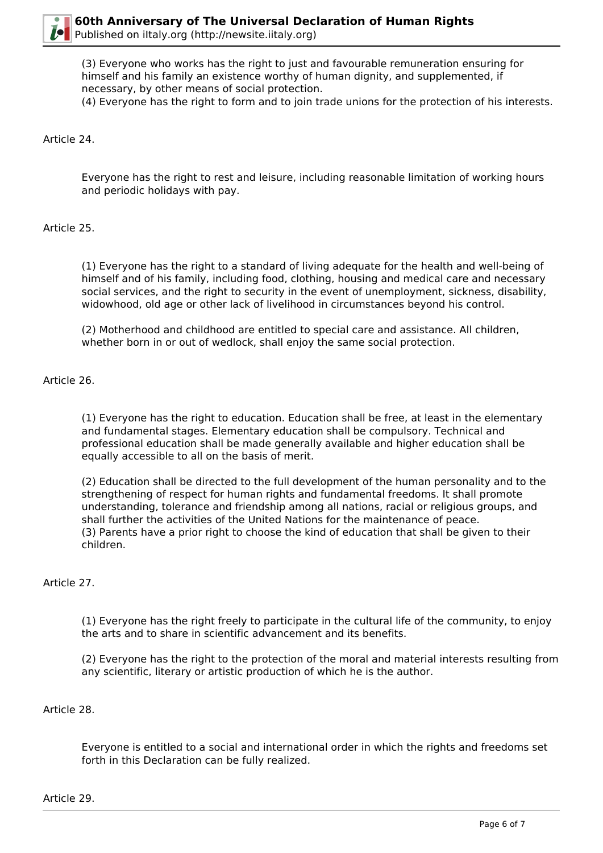

(3) Everyone who works has the right to just and favourable remuneration ensuring for himself and his family an existence worthy of human dignity, and supplemented, if necessary, by other means of social protection.

(4) Everyone has the right to form and to join trade unions for the protection of his interests.

### Article 24.

Everyone has the right to rest and leisure, including reasonable limitation of working hours and periodic holidays with pay.

### Article 25.

(1) Everyone has the right to a standard of living adequate for the health and well-being of himself and of his family, including food, clothing, housing and medical care and necessary social services, and the right to security in the event of unemployment, sickness, disability, widowhood, old age or other lack of livelihood in circumstances beyond his control.

(2) Motherhood and childhood are entitled to special care and assistance. All children, whether born in or out of wedlock, shall enjoy the same social protection.

### Article 26.

(1) Everyone has the right to education. Education shall be free, at least in the elementary and fundamental stages. Elementary education shall be compulsory. Technical and professional education shall be made generally available and higher education shall be equally accessible to all on the basis of merit.

(2) Education shall be directed to the full development of the human personality and to the strengthening of respect for human rights and fundamental freedoms. It shall promote understanding, tolerance and friendship among all nations, racial or religious groups, and shall further the activities of the United Nations for the maintenance of peace. (3) Parents have a prior right to choose the kind of education that shall be given to their children.

#### Article 27.

(1) Everyone has the right freely to participate in the cultural life of the community, to enjoy the arts and to share in scientific advancement and its benefits.

(2) Everyone has the right to the protection of the moral and material interests resulting from any scientific, literary or artistic production of which he is the author.

#### Article 28.

Everyone is entitled to a social and international order in which the rights and freedoms set forth in this Declaration can be fully realized.

Article 29.